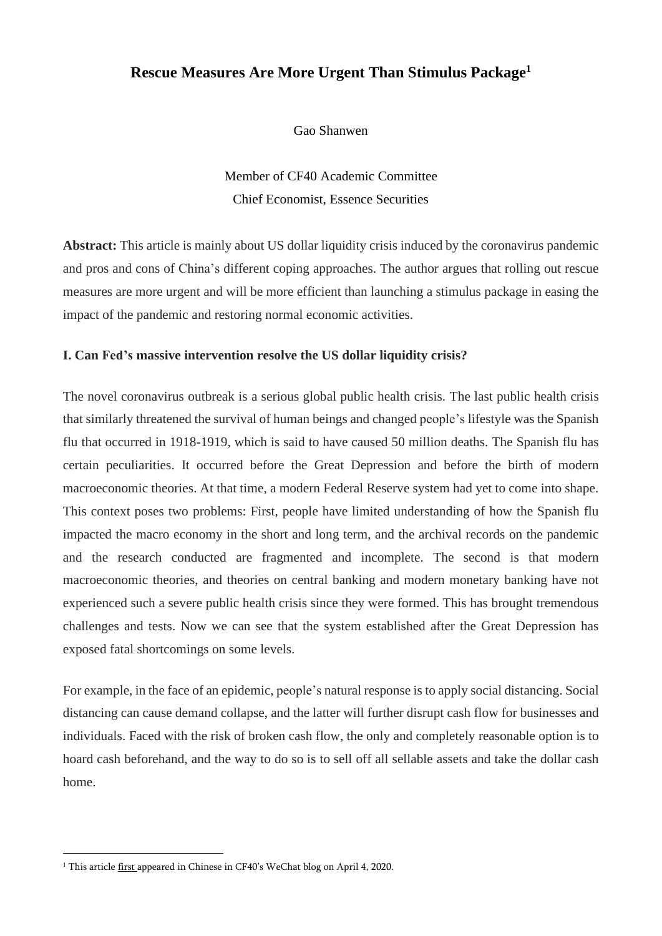## **Rescue Measures Are More Urgent Than Stimulus Package<sup>1</sup>**

Gao Shanwen

Member of CF40 Academic Committee Chief Economist, Essence Securities

**Abstract:** This article is mainly about US dollar liquidity crisis induced by the coronavirus pandemic and pros and cons of China's different coping approaches. The author argues that rolling out rescue measures are more urgent and will be more efficient than launching a stimulus package in easing the impact of the pandemic and restoring normal economic activities.

## **I. Can Fed's massive intervention resolve the US dollar liquidity crisis?**

The novel coronavirus outbreak is a serious global public health crisis. The last public health crisis that similarly threatened the survival of human beings and changed people's lifestyle was the Spanish flu that occurred in 1918-1919, which is said to have caused 50 million deaths. The Spanish flu has certain peculiarities. It occurred before the Great Depression and before the birth of modern macroeconomic theories. At that time, a modern Federal Reserve system had yet to come into shape. This context poses two problems: First, people have limited understanding of how the Spanish flu impacted the macro economy in the short and long term, and the archival records on the pandemic and the research conducted are fragmented and incomplete. The second is that modern macroeconomic theories, and theories on central banking and modern monetary banking have not experienced such a severe public health crisis since they were formed. This has brought tremendous challenges and tests. Now we can see that the system established after the Great Depression has exposed fatal shortcomings on some levels.

For example, in the face of an epidemic, people's natural response is to apply social distancing. Social distancing can cause demand collapse, and the latter will further disrupt cash flow for businesses and individuals. Faced with the risk of broken cash flow, the only and completely reasonable option is to hoard cash beforehand, and the way to do so is to sell off all sellable assets and take the dollar cash home.

<sup>&</sup>lt;sup>1</sup> This article [first](https://mp.weixin.qq.com/s/v0snmYmYxATjDuUI8Fv0MQ) appeared in Chinese in CF40's WeChat blog on April 4, 2020.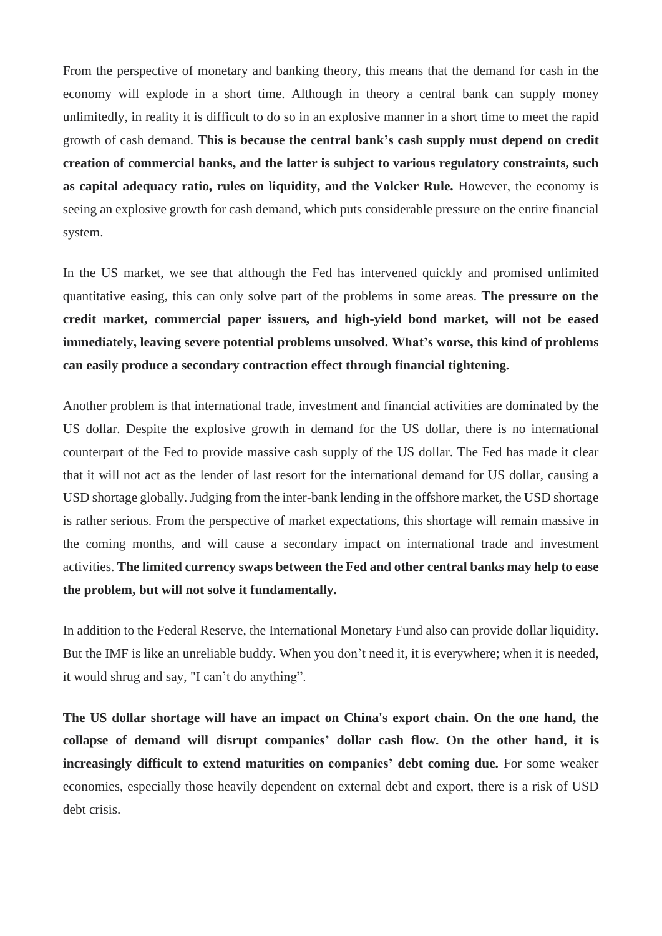From the perspective of monetary and banking theory, this means that the demand for cash in the economy will explode in a short time. Although in theory a central bank can supply money unlimitedly, in reality it is difficult to do so in an explosive manner in a short time to meet the rapid growth of cash demand. **This is because the central bank's cash supply must depend on credit creation of commercial banks, and the latter is subject to various regulatory constraints, such as capital adequacy ratio, rules on liquidity, and the Volcker Rule.** However, the economy is seeing an explosive growth for cash demand, which puts considerable pressure on the entire financial system.

In the US market, we see that although the Fed has intervened quickly and promised unlimited quantitative easing, this can only solve part of the problems in some areas. **The pressure on the credit market, commercial paper issuers, and high-yield bond market, will not be eased immediately, leaving severe potential problems unsolved. What's worse, this kind of problems can easily produce a secondary contraction effect through financial tightening.**

Another problem is that international trade, investment and financial activities are dominated by the US dollar. Despite the explosive growth in demand for the US dollar, there is no international counterpart of the Fed to provide massive cash supply of the US dollar. The Fed has made it clear that it will not act as the lender of last resort for the international demand for US dollar, causing a USD shortage globally. Judging from the inter-bank lending in the offshore market, the USD shortage is rather serious. From the perspective of market expectations, this shortage will remain massive in the coming months, and will cause a secondary impact on international trade and investment activities. **The limited currency swaps between the Fed and other central banks may help to ease the problem, but will not solve it fundamentally.**

In addition to the Federal Reserve, the International Monetary Fund also can provide dollar liquidity. But the IMF is like an unreliable buddy. When you don't need it, it is everywhere; when it is needed, it would shrug and say, "I can't do anything".

**The US dollar shortage will have an impact on China's export chain. On the one hand, the collapse of demand will disrupt companies' dollar cash flow. On the other hand, it is increasingly difficult to extend maturities on companies' debt coming due.** For some weaker economies, especially those heavily dependent on external debt and export, there is a risk of USD debt crisis.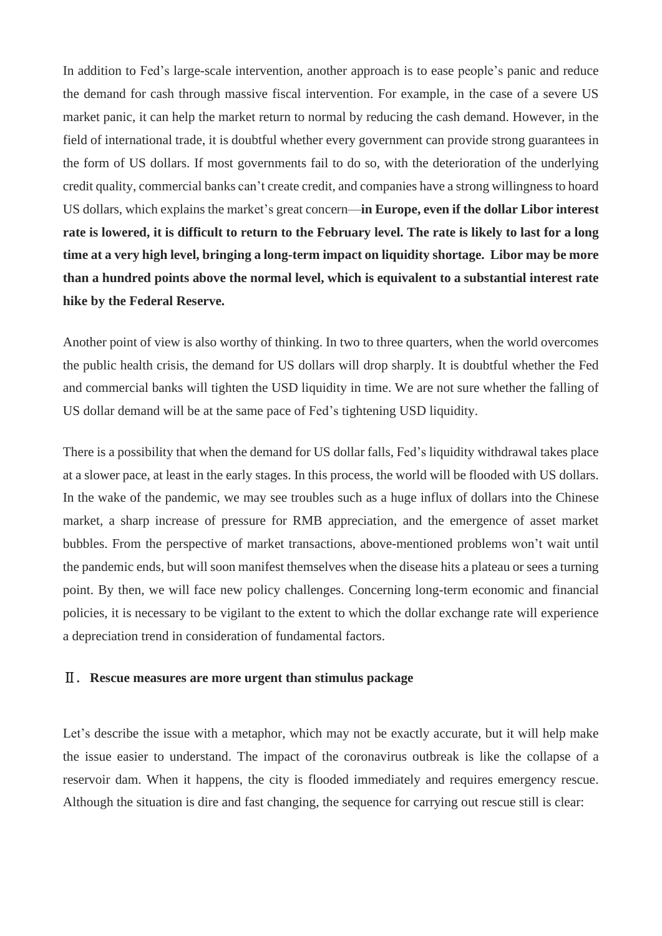In addition to Fed's large-scale intervention, another approach is to ease people's panic and reduce the demand for cash through massive fiscal intervention. For example, in the case of a severe US market panic, it can help the market return to normal by reducing the cash demand. However, in the field of international trade, it is doubtful whether every government can provide strong guarantees in the form of US dollars. If most governments fail to do so, with the deterioration of the underlying credit quality, commercial banks can't create credit, and companies have a strong willingnessto hoard US dollars, which explains the market's great concern—**in Europe, even if the dollar Libor interest** rate is lowered, it is difficult to return to the February level. The rate is likely to last for a long **time at a very high level, bringing a long-term impact on liquidity shortage. Libor may be more than a hundred points above the normal level, which is equivalent to a substantial interest rate hike by the Federal Reserve.**

Another point of view is also worthy of thinking. In two to three quarters, when the world overcomes the public health crisis, the demand for US dollars will drop sharply. It is doubtful whether the Fed and commercial banks will tighten the USD liquidity in time. We are not sure whether the falling of US dollar demand will be at the same pace of Fed's tightening USD liquidity.

There is a possibility that when the demand for US dollar falls, Fed's liquidity withdrawal takes place at a slower pace, at least in the early stages. In this process, the world will be flooded with US dollars. In the wake of the pandemic, we may see troubles such as a huge influx of dollars into the Chinese market, a sharp increase of pressure for RMB appreciation, and the emergence of asset market bubbles. From the perspective of market transactions, above-mentioned problems won't wait until the pandemic ends, but will soon manifest themselves when the disease hits a plateau or sees a turning point. By then, we will face new policy challenges. Concerning long-term economic and financial policies, it is necessary to be vigilant to the extent to which the dollar exchange rate will experience a depreciation trend in consideration of fundamental factors.

## Ⅱ. **Rescue measures are more urgent than stimulus package**

Let's describe the issue with a metaphor, which may not be exactly accurate, but it will help make the issue easier to understand. The impact of the coronavirus outbreak is like the collapse of a reservoir dam. When it happens, the city is flooded immediately and requires emergency rescue. Although the situation is dire and fast changing, the sequence for carrying out rescue still is clear: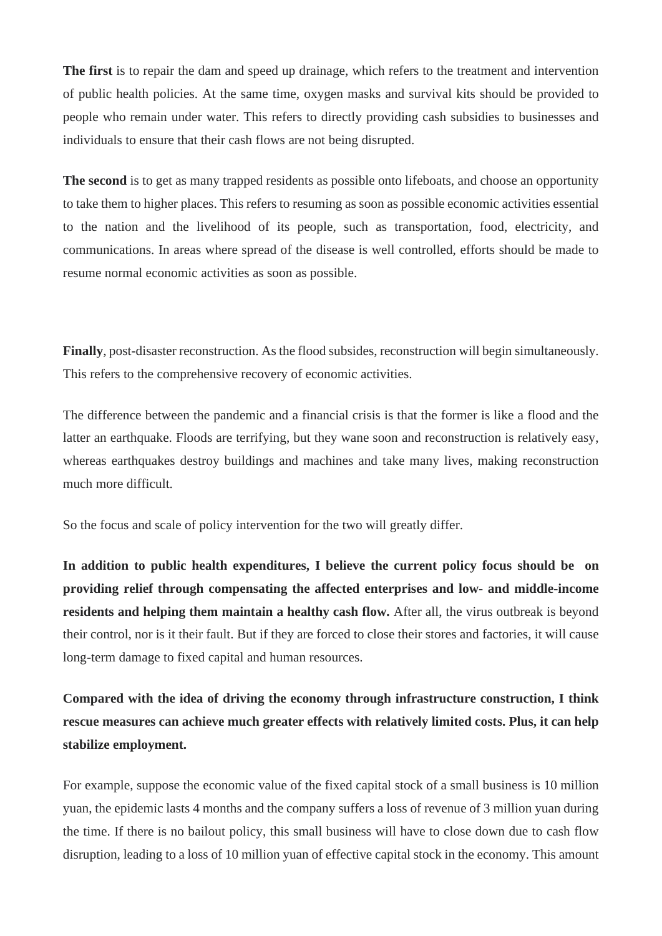**The first** is to repair the dam and speed up drainage, which refers to the treatment and intervention of public health policies. At the same time, oxygen masks and survival kits should be provided to people who remain under water. This refers to directly providing cash subsidies to businesses and individuals to ensure that their cash flows are not being disrupted.

**The second** is to get as many trapped residents as possible onto lifeboats, and choose an opportunity to take them to higher places. This refers to resuming as soon as possible economic activities essential to the nation and the livelihood of its people, such as transportation, food, electricity, and communications. In areas where spread of the disease is well controlled, efforts should be made to resume normal economic activities as soon as possible.

**Finally**, post-disaster reconstruction. As the flood subsides, reconstruction will begin simultaneously. This refers to the comprehensive recovery of economic activities.

The difference between the pandemic and a financial crisis is that the former is like a flood and the latter an earthquake. Floods are terrifying, but they wane soon and reconstruction is relatively easy, whereas earthquakes destroy buildings and machines and take many lives, making reconstruction much more difficult.

So the focus and scale of policy intervention for the two will greatly differ.

**In addition to public health expenditures, I believe the current policy focus should be on providing relief through compensating the affected enterprises and low- and middle-income residents and helping them maintain a healthy cash flow.** After all, the virus outbreak is beyond their control, nor is it their fault. But if they are forced to close their stores and factories, it will cause long-term damage to fixed capital and human resources.

**Compared with the idea of driving the economy through infrastructure construction, I think rescue measures can achieve much greater effects with relatively limited costs. Plus, it can help stabilize employment.**

For example, suppose the economic value of the fixed capital stock of a small business is 10 million yuan, the epidemic lasts 4 months and the company suffers a loss of revenue of 3 million yuan during the time. If there is no bailout policy, this small business will have to close down due to cash flow disruption, leading to a loss of 10 million yuan of effective capital stock in the economy. This amount